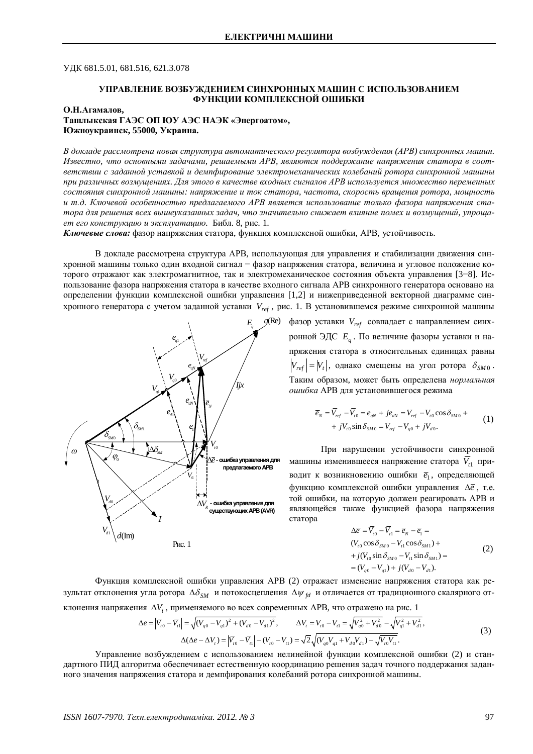УЛК 681.5.01, 681.516, 621.3.078

### УПРАВЛЕНИЕ ВОЗБУЖЛЕНИЕМ СИНХРОННЫХ МАШИН С ИСПОЛЬЗОВАНИЕМ **ФУНКЦИИ КОМПЛЕКСНОЙ ОШИБКИ**

### О.Н.Агамалов,

**ɌɚɲɥɵɤɫɤɚɹȽȺɗɋɈɉɘɍȺɗɋɇȺɗɄ «ɗɧɟɪɝɨɚɬɨɦ»,** Южноукраинск, 55000, Украина.

В докладе рассмотрена новая структура автоматического регулятора возбуждения (APB) синхронных машин. Известно, что основными задачами, решаемыми APB, являются поддержание напряжения статора в соответствии с заданной уставкой и демпфирование электромеханических колебаний ротора синхронной машины при различных возмущениях. Для этого в качестве входных сигналов APB используется множество переменных  $co$ *сюстояния синхронной машины: напряжение и ток статора, частота, скорость вращения ротора, мощность* и т.д. Ключевой особенностью предлагаемого APB является использование только фазора напряжения статора для решения всех вышеуказанных задач, что значительно снижает влияние помех и возмушений, упроша $em$  его конструкцию и эксплуатацию. Библ. 8, рис. 1.

Ключевые слова: фазор напряжения статора, функция комплексной ошибки, APB, устойчивость.

В докладе рассмотрена структура АРВ, использующая для управления и стабилизации движения синхронной машины только один входной сигнал - фазор напряжения статора, величина и угловое положение которого отражают как электромагнитное, так и электромеханическое состояния объекта управления [3-8]. Использование фазора напряжения статора в качестве входного сигнала APB синхронного генератора основано на определении функции комплексной ошибки управления [1,2] и нижеприведенной векторной диаграмме синхронного генератора с учетом заданной уставки  $V_{ref}$ , рис. 1. В установившемся режиме синхронной машины



фазор уставки  $V_{ref}$  совпадает с направлением синхронной ЭДС  $E_q$ . По величине фазоры уставки и напряжения статора в относительных единицах равны  $\left| V_{ref} \right| =\left| V_{t} \right|$ , однако смещены на угол ротора  $\delta_{SM0}$ . Таким образом, может быть определена *нормальная ошибка* АРВ для установившегося режима

$$
\overline{e}_N = \overline{V}_{ref} - \overline{V}_{to} = e_{qN} + je_{dN} = V_{ref} - V_{to} \cos \delta_{SM0} ++ jV_{to} \sin \delta_{SM0} = V_{ref} - V_{q0} + jV_{d0}.
$$
\n(1)

При нарушении устойчивости синхронной машины изменившееся напряжение статора  $\overline{V}_{t1}$  приводит к возникновению ошибки  $\bar{e}_1$ , определяющей функцию комплексной ошибки управления ∆е, т.е. той ошибки, на которую должен реагировать APB и являющейся также функцией фазора напряжения cтaтopa

$$
\Delta \overline{e} = \overline{V}_{r0} - \overline{V}_{r1} = \overline{e}_N - \overline{e}_1 =
$$
  
( $V_{r0} \cos \delta_{SM0} - V_{r1} \cos \delta_{SM1}) +$   
+  $j(V_{r0} \sin \delta_{SM0} - V_{r1} \sin \delta_{SM1}) =$   
= ( $V_{q0} - V_{q1}$ ) +  $j(V_{d0} - V_{d1})$ . (2)

Функция комплексной ошибки управления APB (2) отражает изменение напряжения статора как результат отклонения угла ротора  $\Delta \delta_{sM}$  и потокосцепления  $\Delta \psi_{td}$  и отличается от традиционного скалярного отклонения напряжения  $\Delta V_t$ , применяемого во всех современных APB, что отражено на рис. 1

$$
\Delta e = \left| \overline{V}_{i0} - \overline{V}_{i1} \right| = \sqrt{(V_{q0} - V_{q1})^2 + (V_{d0} - V_{d1})^2}, \qquad \Delta V_i = V_{i0} - V_{i1} = \sqrt{V_{q0}^2 + V_{d0}^2} - \sqrt{V_{q1}^2 + V_{d1}^2},
$$
  
\n
$$
\Delta (\Delta e - \Delta V_i) = \left| \overline{V}_{i0} - \overline{V}_{i1} \right| - (V_{i0} - V_{i1}) = \sqrt{2} \sqrt{(V_{q0} V_{q1} + V_{d0} V_{d1}) - \sqrt{V_{i0} V_{i1}}}.
$$
\n(3)

Управление возбуждением с использованием нелинейной функции комплексной ошибки (2) и стандартного ПИД алгоритма обеспечивает естественную координацию решения задач точного поддержания заданного значения напряжения статора и демпфирования колебаний ротора синхронной машины.